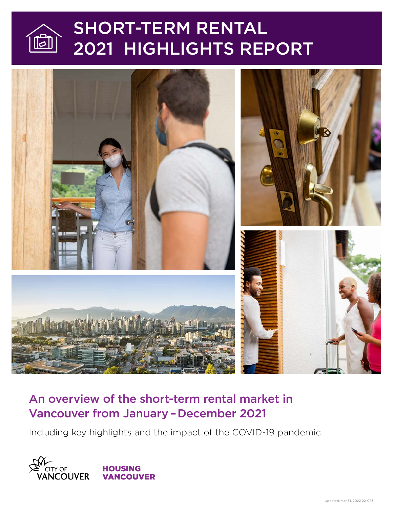

# SHORT-TERM RENTAL 2021 HIGHLIGHTS REPORT



# An overview of the short-term rental market in Vancouver from January – December 2021

Including key highlights and the impact of the COVID-19 pandemic

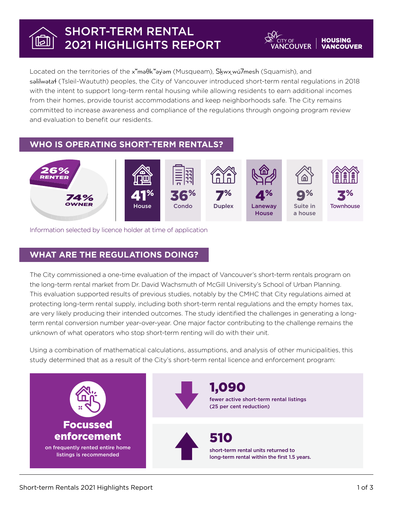#### SHORT-TERM RENTAL  $|\boldsymbol{\varphi}|$ 2021 HIGHLIGHTS REPORT

Located on the territories of the x<sup>w</sup>ma<sub>b</sub> vame (Musqueam), Skwx wu 7mesh (Squamish), and səlilwətaɬ (Tsleil-Waututh) peoples, the City of Vancouver introduced short-term rental regulations in 2018 with the intent to support long-term rental housing while allowing residents to earn additional incomes from their homes, provide tourist accommodations and keep neighborhoods safe. The City remains committed to increase awareness and compliance of the regulations through ongoing program review and evaluation to benefit our residents.

## **WHO IS OPERATING SHORT-TERM RENTALS?**



Information selected by licence holder at time of application

### **WHAT ARE THE REGULATIONS DOING?**

The City commissioned a one-time evaluation of the impact of Vancouver's short-term rentals program on the long-term rental market from Dr. David Wachsmuth of McGill University's School of Urban Planning. This evaluation supported results of previous studies, notably by the CMHC that City regulations aimed at protecting long-term rental supply, including both short-term rental regulations and the empty homes tax, are very likely producing their intended outcomes. The study identified the challenges in generating a longterm rental conversion number year-over-year. One major factor contributing to the challenge remains the unknown of what operators who stop short-term renting will do with their unit.

Using a combination of mathematical calculations, assumptions, and analysis of other municipalities, this study determined that as a result of the City's short-term rental licence and enforcement program:



**IOUSING** 

*IANCOUVER* 

**COUVER**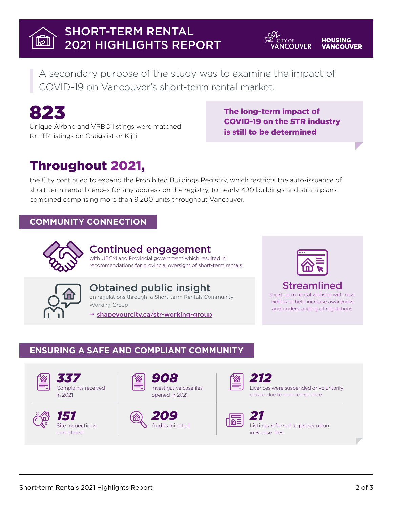# SHORT-TERM RENTAL 2021 HIGHLIGHTS REPORT

A secondary purpose of the study was to examine the impact of COVID-19 on Vancouver's short-term rental market.



Unique Airbnb and VRBO listings were matched to LTR listings on Craigslist or Kijiji.

#### The long-term impact of COVID-19 on the STR industry is still to be determined

**COUVER** 

# Throughout 2021,

the City continued to expand the Prohibited Buildings Registry, which restricts the auto-issuance of short-term rental licences for any address on the registry, to nearly 490 buildings and strata plans combined comprising more than 9,200 units throughout Vancouver.

# **COMMUNITY CONNECTION**



## Continued engagement

with UBCM and Provincial government which resulted in recommendations for provincial oversight of short-term rentals





Obtained public insight on regulations through a Short-term Rentals Community Working Group

→ [shapeyourcity.ca/str-working-group](https://shapeyourcity.ca/str-working-group)



IOUSING

ANCOUVER

# Streamlined

short-term rental website with new videos to help increase awareness and understanding of regulations

## **ENSURING A SAFE AND COMPLIANT COMMUNITY**